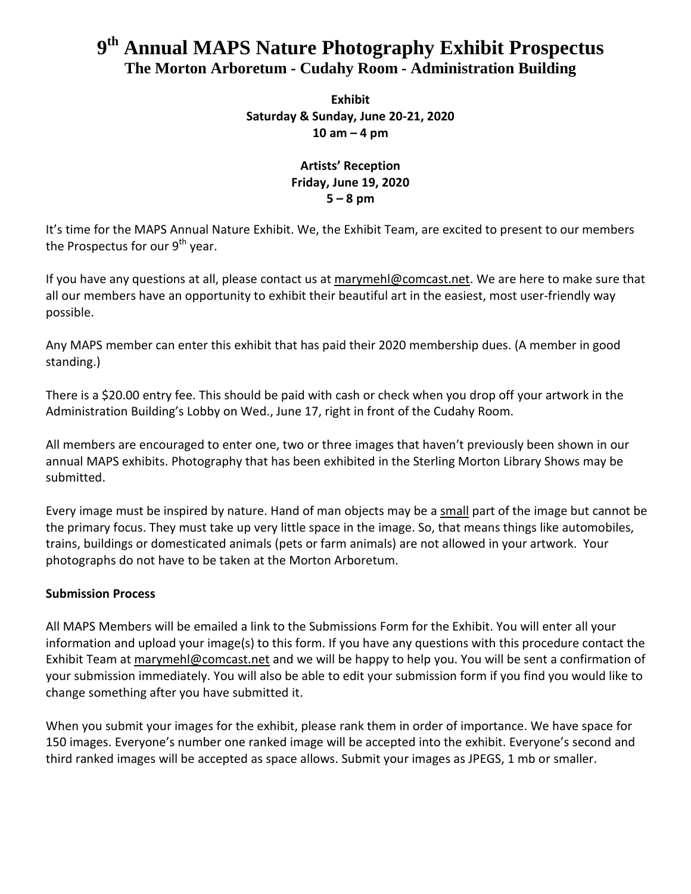# **9 th Annual MAPS Nature Photography Exhibit Prospectus The Morton Arboretum - Cudahy Room - Administration Building**

**Exhibit Saturday & Sunday, June 20-21, 2020 10 am – 4 pm**

# **Artists' Reception Friday, June 19, 2020 5 – 8 pm**

It's time for the MAPS Annual Nature Exhibit. We, the Exhibit Team, are excited to present to our members the Prospectus for our 9<sup>th</sup> year.

If you have any questions at all, please contact us at [marymehl@comcast.net.](mailto:marymehl@comcast.net) We are here to make sure that all our members have an opportunity to exhibit their beautiful art in the easiest, most user-friendly way possible.

Any MAPS member can enter this exhibit that has paid their 2020 membership dues. (A member in good standing.)

There is a \$20.00 entry fee. This should be paid with cash or check when you drop off your artwork in the Administration Building's Lobby on Wed., June 17, right in front of the Cudahy Room.

All members are encouraged to enter one, two or three images that haven't previously been shown in our annual MAPS exhibits. Photography that has been exhibited in the Sterling Morton Library Shows may be submitted.

Every image must be inspired by nature. Hand of man objects may be a small part of the image but cannot be the primary focus. They must take up very little space in the image. So, that means things like automobiles, trains, buildings or domesticated animals (pets or farm animals) are not allowed in your artwork. Your photographs do not have to be taken at the Morton Arboretum.

# **Submission Process**

All MAPS Members will be emailed a link to the Submissions Form for the Exhibit. You will enter all your information and upload your image(s) to this form. If you have any questions with this procedure contact the Exhibit Team at [marymehl@comcast.net](mailto:marymehl@comcast.net) and we will be happy to help you. You will be sent a confirmation of your submission immediately. You will also be able to edit your submission form if you find you would like to change something after you have submitted it.

When you submit your images for the exhibit, please rank them in order of importance. We have space for 150 images. Everyone's number one ranked image will be accepted into the exhibit. Everyone's second and third ranked images will be accepted as space allows. Submit your images as JPEGS, 1 mb or smaller.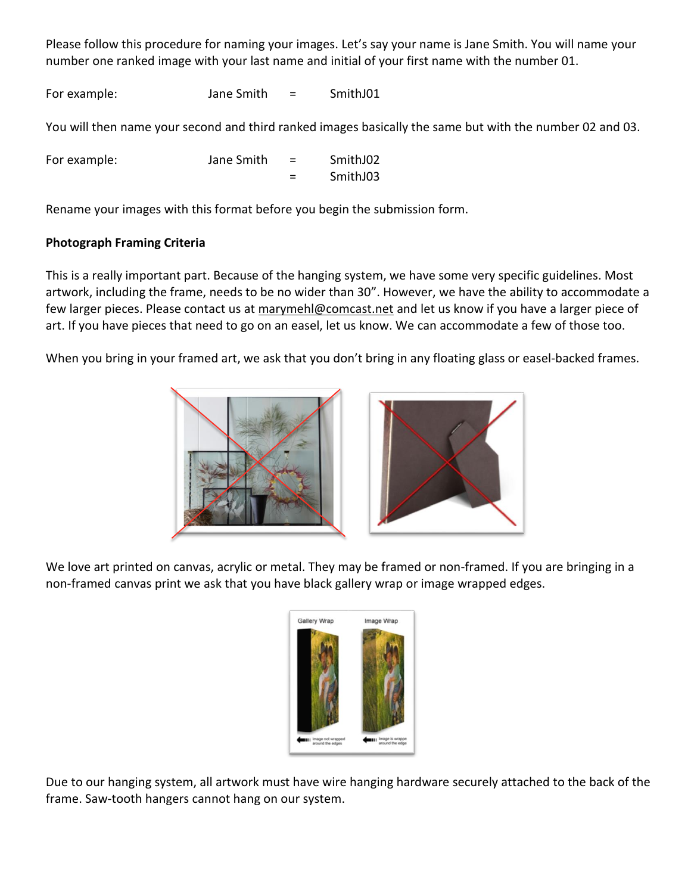Please follow this procedure for naming your images. Let's say your name is Jane Smith. You will name your number one ranked image with your last name and initial of your first name with the number 01.

For example: Jane Smith = SmithJ01

You will then name your second and third ranked images basically the same but with the number 02 and 03.

| For example: | Jane Smith | $=$      | SmithJ02 |
|--------------|------------|----------|----------|
|              |            | $\equiv$ | SmithJ03 |

Rename your images with this format before you begin the submission form.

# **Photograph Framing Criteria**

This is a really important part. Because of the hanging system, we have some very specific guidelines. Most artwork, including the frame, needs to be no wider than 30". However, we have the ability to accommodate a few larger pieces. Please contact us at [marymehl@comcast.net](mailto:marymehl@comcast.net) and let us know if you have a larger piece of art. If you have pieces that need to go on an easel, let us know. We can accommodate a few of those too.

When you bring in your framed art, we ask that you don't bring in any floating glass or easel-backed frames.



We love art printed on canvas, acrylic or metal. They may be framed or non-framed. If you are bringing in a non-framed canvas print we ask that you have black gallery wrap or image wrapped edges.



Due to our hanging system, all artwork must have wire hanging hardware securely attached to the back of the frame. Saw-tooth hangers cannot hang on our system.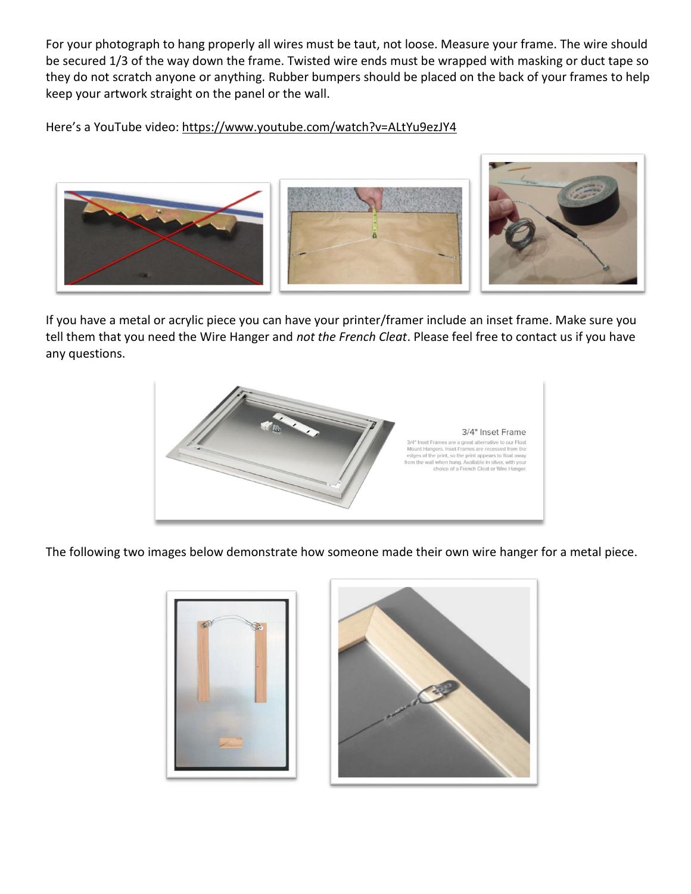For your photograph to hang properly all wires must be taut, not loose. Measure your frame. The wire should be secured 1/3 of the way down the frame. Twisted wire ends must be wrapped with masking or duct tape so they do not scratch anyone or anything. Rubber bumpers should be placed on the back of your frames to help keep your artwork straight on the panel or the wall.

Here's a YouTube video: <https://www.youtube.com/watch?v=ALtYu9ezJY4>



If you have a metal or acrylic piece you can have your printer/framer include an inset frame. Make sure you tell them that you need the Wire Hanger and *not the French Cleat*. Please feel free to contact us if you have any questions.



The following two images below demonstrate how someone made their own wire hanger for a metal piece.

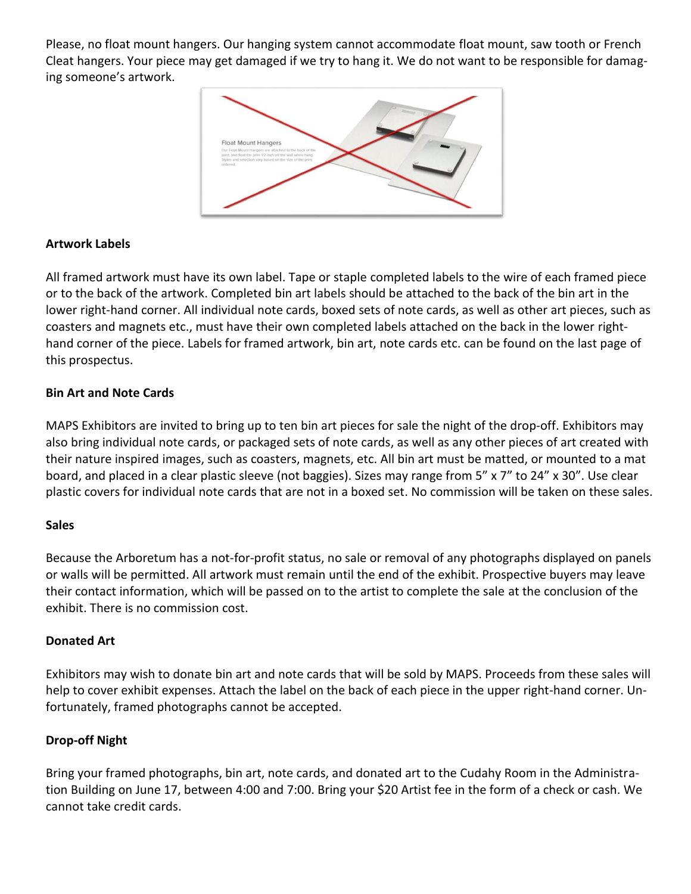Please, no float mount hangers. Our hanging system cannot accommodate float mount, saw tooth or French Cleat hangers. Your piece may get damaged if we try to hang it. We do not want to be responsible for damaging someone's artwork.



## **Artwork Labels**

All framed artwork must have its own label. Tape or staple completed labels to the wire of each framed piece or to the back of the artwork. Completed bin art labels should be attached to the back of the bin art in the lower right-hand corner. All individual note cards, boxed sets of note cards, as well as other art pieces, such as coasters and magnets etc., must have their own completed labels attached on the back in the lower righthand corner of the piece. Labels for framed artwork, bin art, note cards etc. can be found on the last page of this prospectus.

## **Bin Art and Note Cards**

MAPS Exhibitors are invited to bring up to ten bin art pieces for sale the night of the drop-off. Exhibitors may also bring individual note cards, or packaged sets of note cards, as well as any other pieces of art created with their nature inspired images, such as coasters, magnets, etc. All bin art must be matted, or mounted to a mat board, and placed in a clear plastic sleeve (not baggies). Sizes may range from 5" x 7" to 24" x 30". Use clear plastic covers for individual note cards that are not in a boxed set. No commission will be taken on these sales.

#### **Sales**

Because the Arboretum has a not-for-profit status, no sale or removal of any photographs displayed on panels or walls will be permitted. All artwork must remain until the end of the exhibit. Prospective buyers may leave their contact information, which will be passed on to the artist to complete the sale at the conclusion of the exhibit. There is no commission cost.

#### **Donated Art**

Exhibitors may wish to donate bin art and note cards that will be sold by MAPS. Proceeds from these sales will help to cover exhibit expenses. Attach the label on the back of each piece in the upper right-hand corner. Unfortunately, framed photographs cannot be accepted.

# **Drop-off Night**

Bring your framed photographs, bin art, note cards, and donated art to the Cudahy Room in the Administration Building on June 17, between 4:00 and 7:00. Bring your \$20 Artist fee in the form of a check or cash. We cannot take credit cards.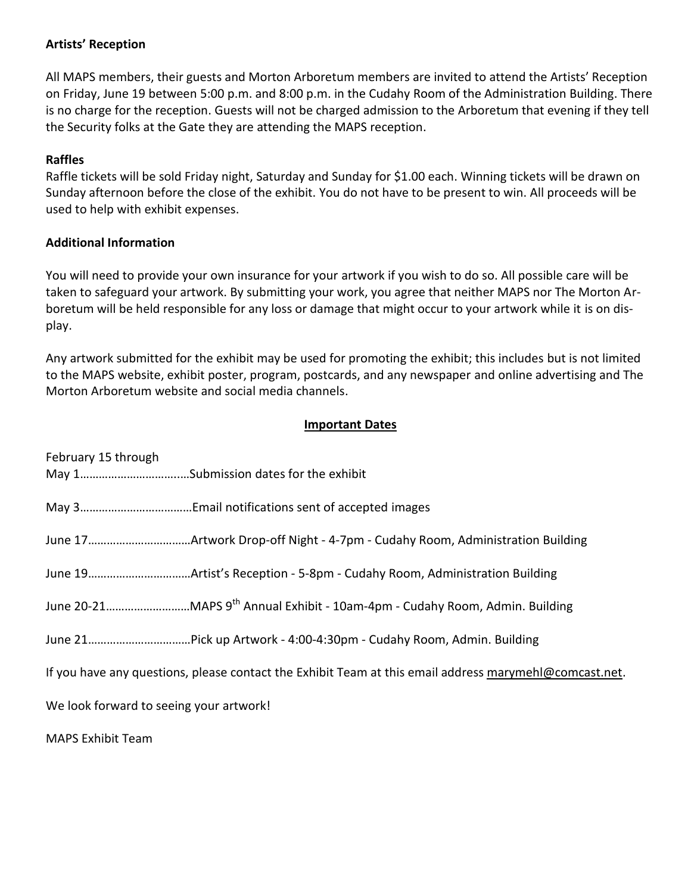## **Artists' Reception**

All MAPS members, their guests and Morton Arboretum members are invited to attend the Artists' Reception on Friday, June 19 between 5:00 p.m. and 8:00 p.m. in the Cudahy Room of the Administration Building. There is no charge for the reception. Guests will not be charged admission to the Arboretum that evening if they tell the Security folks at the Gate they are attending the MAPS reception.

## **Raffles**

Raffle tickets will be sold Friday night, Saturday and Sunday for \$1.00 each. Winning tickets will be drawn on Sunday afternoon before the close of the exhibit. You do not have to be present to win. All proceeds will be used to help with exhibit expenses.

# **Additional Information**

You will need to provide your own insurance for your artwork if you wish to do so. All possible care will be taken to safeguard your artwork. By submitting your work, you agree that neither MAPS nor The Morton Arboretum will be held responsible for any loss or damage that might occur to your artwork while it is on display.

Any artwork submitted for the exhibit may be used for promoting the exhibit; this includes but is not limited to the MAPS website, exhibit poster, program, postcards, and any newspaper and online advertising and The Morton Arboretum website and social media channels.

## **Important Dates**

| February 15 through                     |                                                                                                        |
|-----------------------------------------|--------------------------------------------------------------------------------------------------------|
|                                         |                                                                                                        |
|                                         |                                                                                                        |
|                                         |                                                                                                        |
|                                         |                                                                                                        |
|                                         |                                                                                                        |
|                                         | If you have any questions, please contact the Exhibit Team at this email address marymehl@comcast.net. |
| We look forward to seeing your artwork! |                                                                                                        |
| <b>MAPS Exhibit Team</b>                |                                                                                                        |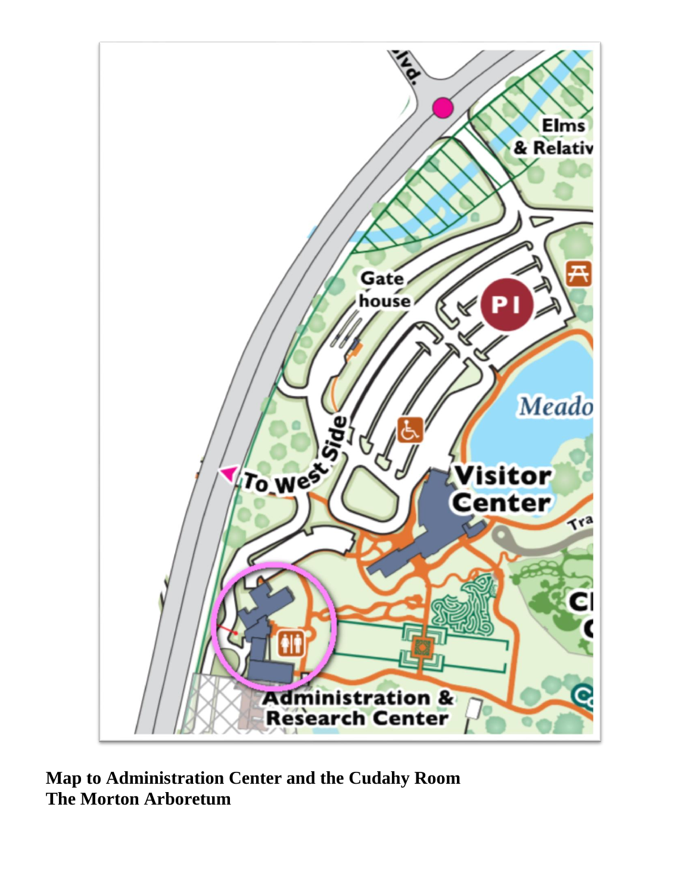

**Map to Administration Center and the Cudahy Room The Morton Arboretum**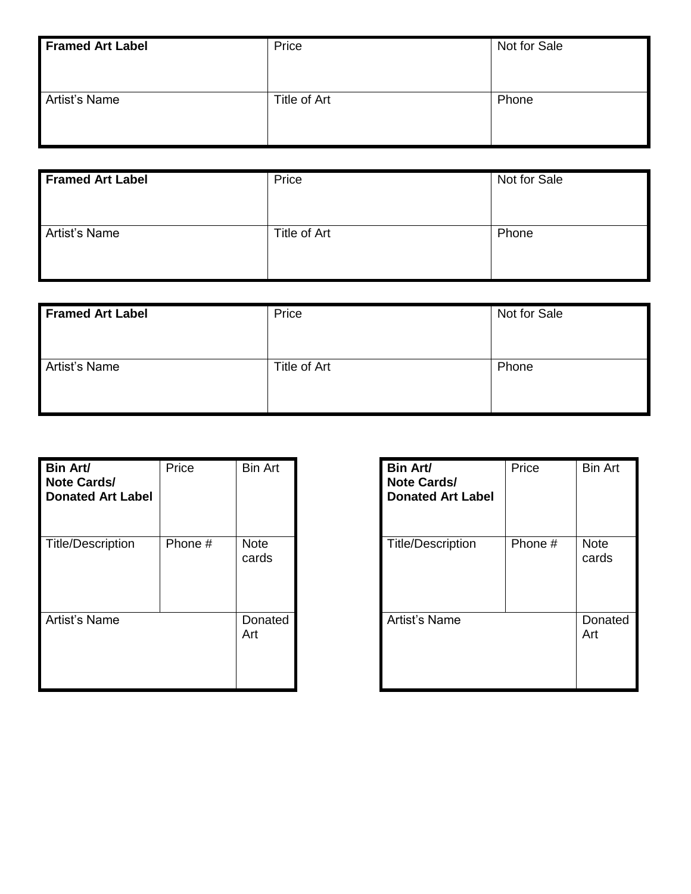| <b>Framed Art Label</b> | Price        | Not for Sale |
|-------------------------|--------------|--------------|
| Artist's Name           | Title of Art | Phone        |

| <b>Framed Art Label</b> | Price        | Not for Sale |
|-------------------------|--------------|--------------|
| <b>Artist's Name</b>    | Title of Art | Phone        |

| <b>Framed Art Label</b> | Price        | Not for Sale |
|-------------------------|--------------|--------------|
| Artist's Name           | Title of Art | Phone        |

| Bin Art/<br><b>Note Cards/</b><br><b>Donated Art Label</b> | Price   | <b>Bin Art</b>       | <b>Bin Art/</b><br>Note Ca<br><b>Donated</b> |
|------------------------------------------------------------|---------|----------------------|----------------------------------------------|
| Title/Description                                          | Phone # | <b>Note</b><br>cards | Title/Des                                    |
| Artist's Name                                              |         | Donated<br>Art       | Artist's N                                   |

| <b>Bin Art/</b><br><b>Note Cards/</b><br><b>Donated Art Label</b> | Price   | <b>Bin Art</b>       |
|-------------------------------------------------------------------|---------|----------------------|
| <b>Title/Description</b>                                          | Phone # | <b>Note</b><br>cards |
| Artist's Name                                                     |         | Donated<br>Art       |